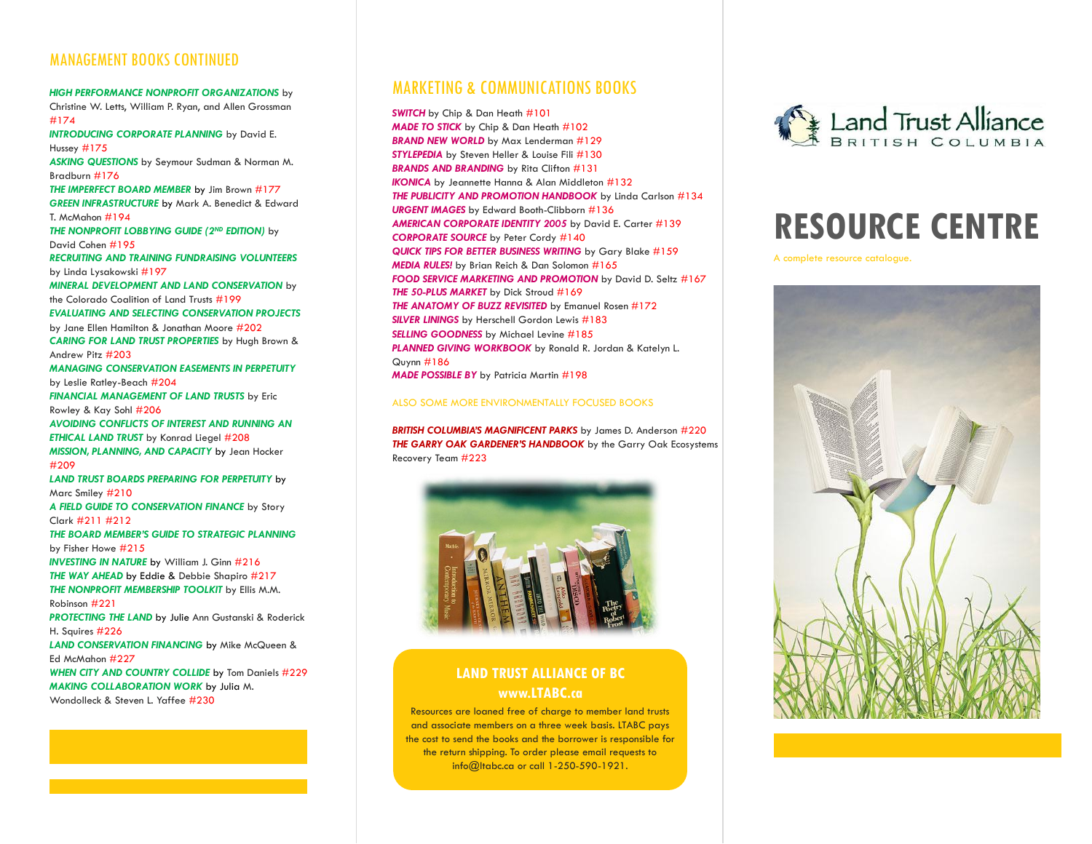### MANAGEMENT BOOKS CONTINUED

*HIGH PERFORMANCE NONPROFIT ORGANIZATIONS* by Christine W. Letts, William P. Ryan, and Allen Grossman #174 *INTRODUCING CORPORATE PLANNING* by David E. Hussey #175 *ASKING QUESTIONS* by Seymour Sudman & Norman M. Bradburn #176 *THE IMPERFECT BOARD MEMBER* by Jim Brown #177 *GREEN INFRASTRUCTURE* by Mark A. Benedict & Edward T. McMahon #194 *THE NONPROFIT LOBBYING GUIDE (2ND EDITION)* by David Cohen #195 *RECRUITING AND TRAINING FUNDRAISING VOLUNTEERS* by Linda Lysakowski #197 *MINERAL DEVELOPMENT AND LAND CONSERVATION* by the Colorado Coalition of Land Trusts #199 *EVALUATING AND SELECTING CONSERVATION PROJECTS* by Jane Ellen Hamilton & Jonathan Moore #202 *CARING FOR LAND TRUST PROPERTIES* by Hugh Brown & Andrew Pitz #203 *MANAGING CONSERVATION EASEMENTS IN PERPETUITY* by Leslie Ratley-Beach #204 *FINANCIAL MANAGEMENT OF LAND TRUSTS* by Eric Rowley & Kay Sohl #206 *AVOIDING CONFLICTS OF INTEREST AND RUNNING AN ETHICAL LAND TRUST* by Konrad Liegel #208 *MISSION, PLANNING, AND CAPACITY* by Jean Hocker #209 *LAND TRUST BOARDS PREPARING FOR PERPETUITY* by Marc Smiley #210 *A FIELD GUIDE TO CONSERVATION FINANCE* by Story Clark #211 #212 *THE BOARD MEMBER'S GUIDE TO STRATEGIC PLANNING* by Fisher Howe #215 *INVESTING IN NATURE* by William J. Ginn #216 *THE WAY AHEAD* by Eddie & Debbie Shapiro #217 *THE NONPROFIT MEMBERSHIP TOOLKIT* by Ellis M.M. Robinson #221 *PROTECTING THE LAND* by Julie Ann Gustanski & Roderick H. Squires #226 *LAND CONSERVATION FINANCING* by Mike McQueen & Ed McMahon #227 *WHEN CITY AND COUNTRY COLLIDE* by Tom Daniels #229 *MAKING COLLABORATION WORK* by Julia M. Wondolleck & Steven L. Yaffee #230

### MARKETING & COMMUNICATIONS BOOKS

**SWITCH** by Chip & Dan Heath #101 *MADE TO STICK* by Chip & Dan Heath #102 *BRAND NEW WORLD* by Max Lenderman #129 *STYLEPEDIA* by Steven Heller & Louise Fili #130 *BRANDS AND BRANDING* by Rita Clifton #131 **IKONICA** by Jeannette Hanna & Alan Middleton #132 *THE PUBLICITY AND PROMOTION HANDBOOK* by Linda Carlson #134 *URGENT IMAGES* by Edward Booth-Clibborn #136 *AMERICAN CORPORATE IDENTITY 2005* by David E. Carter #139 *CORPORATE SOURCE* by Peter Cordy #140 *QUICK TIPS FOR BETTER BUSINESS WRITING* by Gary Blake #159 *MEDIA RULES!* by Brian Reich & Dan Solomon #165 *FOOD SERVICE MARKETING AND PROMOTION* by David D. Seltz #167 *THE 50-PLUS MARKET* by Dick Stroud #169 *THE ANATOMY OF BUZZ REVISITED* by Emanuel Rosen #172 *SILVER LININGS* by Herschell Gordon Lewis #183 *SELLING GOODNESS* by Michael Levine #185 *PLANNED GIVING WORKBOOK* by Ronald R. Jordan & Katelyn L. Quynn #186

*MADE POSSIBLE BY* by Patricia Martin #198

#### ALSO SOME MORE ENVIRONMENTALLY FOCUSED BOOKS

*BRITISH COLUMBIA'S MAGNIFICENT PARKS* by James D. Anderson #220 *THE GARRY OAK GARDENER'S HANDBOOK* by the Garry Oak Ecosystems Recovery Team #223



### **LAND TRUST ALLIANCE OF BC www.LTABC.ca**

Resources are loaned free of charge to member land trusts and associate members on a three week basis. LTABC pays the cost to send the books and the borrower is responsible for the return shipping. To order please email requests to info@ltabc.ca or call 1-250-590-1921.



# **RESOURCE CENTRE**

A complete resource catalogue.